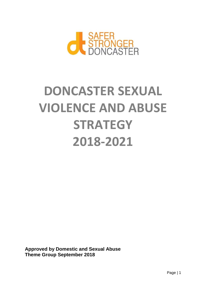

# **DONCASTER SEXUAL VIOLENCE AND ABUSE STRATEGY 2018-2021**

**Approved by Domestic and Sexual Abuse Theme Group September 2018**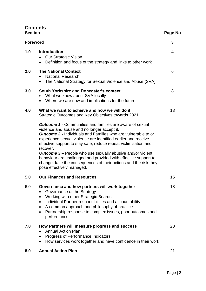# **Contents**

| <b>Section</b> |                                                                                                                                                                                                                                                                                                                                                                                                                                                                                                                                                                                 | Page No |  |
|----------------|---------------------------------------------------------------------------------------------------------------------------------------------------------------------------------------------------------------------------------------------------------------------------------------------------------------------------------------------------------------------------------------------------------------------------------------------------------------------------------------------------------------------------------------------------------------------------------|---------|--|
| Foreword       |                                                                                                                                                                                                                                                                                                                                                                                                                                                                                                                                                                                 | 3       |  |
| 1.0            | <b>Introduction</b><br><b>Our Strategic Vision</b><br>Definition and focus of the strategy and links to other work<br>$\bullet$                                                                                                                                                                                                                                                                                                                                                                                                                                                 | 4       |  |
| 2.0            | <b>The National Context</b><br><b>National Research</b><br>The National Strategy for Sexual Violence and Abuse (SVA)                                                                                                                                                                                                                                                                                                                                                                                                                                                            | 6       |  |
| 3.0            | <b>South Yorkshire and Doncaster's context</b><br>What we know about SVA locally<br>Where we are now and implications for the future                                                                                                                                                                                                                                                                                                                                                                                                                                            | 8       |  |
| 4.0            | What we want to achieve and how we will do it<br>Strategic Outcomes and Key Objectives towards 2021                                                                                                                                                                                                                                                                                                                                                                                                                                                                             | 13      |  |
|                | <b>Outcome 1 - Communities and families are aware of sexual</b><br>violence and abuse and no longer accept it.<br><b>Outcome 2 -</b> Individuals and Families who are vulnerable to or<br>experience sexual violence are identified earlier and receive<br>effective support to stay safe; reduce repeat victimisation and<br>recover.<br><b>Outcome 3 –</b> People who use sexually abusive and/or violent<br>behaviour are challenged and provided with effective support to<br>change, face the consequences of their actions and the risk they<br>pose effectively managed. |         |  |
| 5.0            | <b>Our Finances and Resources</b>                                                                                                                                                                                                                                                                                                                                                                                                                                                                                                                                               | 15      |  |
| 6.0            | Governance and how partners will work together<br>Governance of the Strategy<br><b>Working with other Strategic Boards</b><br>$\bullet$<br>Individual Partner responsibilities and accountability<br>$\bullet$<br>A common approach and philosophy of practice<br>$\bullet$<br>Partnership response to complex issues, poor outcomes and<br>$\bullet$<br>performance                                                                                                                                                                                                            | 18      |  |
| 7.0            | How Partners will measure progress and success<br><b>Annual Action Plan</b><br>Progress of Performance Indicators<br>How services work together and have confidence in their work<br>$\bullet$                                                                                                                                                                                                                                                                                                                                                                                  | 20      |  |
| 8.0            | <b>Annual Action Plan</b>                                                                                                                                                                                                                                                                                                                                                                                                                                                                                                                                                       | 21      |  |
|                |                                                                                                                                                                                                                                                                                                                                                                                                                                                                                                                                                                                 |         |  |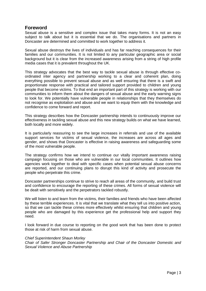## **Foreword**

Sexual abuse is a sensitive and complex issue that takes many forms. It is not an easy subject to talk about but it is essential that we do. The organisations and partners in Doncaster are determined and committed to work together to address it.

Sexual abuse destroys the lives of individuals and has far reaching consequences for their families and our communities. It is not limited to any particular geographic area or social background but it is clear from the increased awareness arising from a string of high profile media cases that it is prevalent throughout the UK.

This strategy advocates that the best way to tackle sexual abuse is through effective coordinated inter agency and partnership working to a clear and coherent plan, doing everything possible to prevent sexual abuse and as well ensuring that there is a swift and proportionate response with practical and tailored support provided to children and young people that become victims. To that end an important part of this strategy is working with our communities to inform them about the dangers of sexual abuse and the early warning signs to look for. We potentially have vulnerable people in relationships that they themselves do not recognise as exploitation and abuse and we want to equip them with the knowledge and confidence to come forward and report.

This strategy describes how the Doncaster partnership intends to continuously improve our effectiveness in tackling sexual abuse and this new strategy builds on what we have learned, both locally and more widely.

It is particularly reassuring to see the large increases in referrals and use of the available support services for victims of sexual violence, the increases are across all ages and gender, and shows that Doncaster is effective in raising awareness and safeguarding some of the most vulnerable people.

The strategy confirms how we intend to continue our vitally important awareness raising campaign focusing on those who are vulnerable in our local communities. It outlines how agencies work together to deal with specific cases when potential sexual abuse concerns are reported, and our continuing plans to disrupt this kind of activity and prosecute the people who perpetrate this crime.

Doncaster partnerships continue to strive to reach all areas of the community, and build trust and confidence to encourage the reporting of these crimes. All forms of sexual violence will be dealt with sensitively and the perpetrators tackled robustly.

We will listen to and learn from the victims, their families and friends who have been affected by these terrible experiences. It is vital that we translate what they tell us into positive action, so that we can tackle these crimes more effectively whilst ensuring that children and young people who are damaged by this experience get the professional help and support they need.

I look forward in due course to reporting on the good work that has been done to protect those at risk of harm from sexual abuse.

#### *Chief Superintendent Shaun Morley*

*Chair of Safer Stronger Doncaster Partnership and Chair of the Doncaster Domestic and Sexual Violence and Abuse Partnership*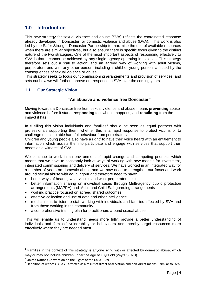# **1.0 Introduction**

This new strategy for sexual violence and abuse (SVA) reflects the coordinated response already developed in Doncaster for domestic violence and abuse (DVA). This work is also led by the Safer Stronger Doncaster Partnership to maximise the use of available resources when there are similar objectives, but also ensure there is specific focus given to the distinct nature of the two strategies. One of the most important aspects of responding effectively to SVA is that it cannot be achieved by any single agency operating in isolation. This strategy therefore sets out a 'call to action' and an agreed way of working with adult victims, perpetrators and with any other person, including a child or young person, affected by the consequences of sexual violence or abuse.

This strategy seeks to focus our commissioning arrangements and provision of services, and sets out how we will further improve our response to SVA over the coming years.

#### **1.1 Our Strategic Vision**

#### **"An abusive and violence free Doncaster"**

Moving towards a Doncaster free from sexual violence and abuse means **preventing** abuse and violence before it starts, **responding** to it when it happens, and **rebuilding** from the impact it has.

In fulfilling this vision individuals and families<sup>1</sup> should be seen as equal partners with professionals supporting them; whether this is a rapid response to protect victims or to challenge unacceptable harmful behaviour from perpetrators.

Children and young people also have a right $2$  to have their voice heard with an entitlement to information which assists them to participate and engage with services that support their needs as a witness $3$  of SVA.

We continue to work in an environment of rapid change and competing priorities which means that we have to constantly look at ways of working with new models for investment, integrated commissioning and delivery of services. We have worked in an integrated way for a number of years on domestic abuse and we now need to strengthen our focus and work around sexual abuse with equal rigour and therefore need to have:

- better ways of hearing what victims and what perpetrators tell us
- better information sharing on individual cases through Multi-agency public protection arrangements (MAPPA) and Adult and Child Safeguarding arrangements
- working practice focused on agreed shared outcomes
- effective collection and use of data and other intelligence
- mechanisms to listen to staff working with individuals and families affected by SVA and from those working in the community
- a comprehensive training plan for practitioners around sexual abuse

This will enable us to understand needs more fully; provide a better understanding of individuals and families' vulnerability or behaviours and thereby target resources more effectively where they are needed most.

 $\overline{a}$ 

 $1$  Families in the context of this strategy is anyone living with or affected by domestic abuse, which may or may not include children under the age of 18yrs old (24yrs SEND).

<sup>&</sup>lt;sup>2</sup> United Nations Convention on the Rights of the Child 1989

 $3$  Definition of witness is C&YP affected as a result of direct observation and non-direct means – similar to DVA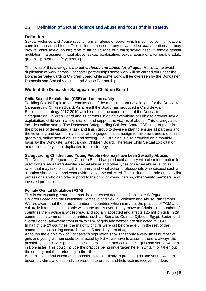#### **1.2 Definition of Sexual Violence and Abuse and focus of this strategy**

#### **Definition**

Sexual Violence and Abuse results from an abuse of power which may involve: intimidation; coercion; threat and force. This includes the use of any unwanted sexual attention and may involve: child sexual abuse; rape of an adult; rape of a child; sexual assault; female genital mutilation; harassment; ritual abuse; sexual exploitation; sexual abuse of a vulnerable adult; grooming; internet safety; sexting.

The focus of this strategy is *sexual violence and abuse for all ages. However,* to avoid duplication of work across Doncaster partnerships some work will be carried out under the Doncaster Safeguarding Children Board while some work will be overseen by the Doncaster Domestic and Sexual Violence and Abuse Partnership.

#### **Work of the Doncaster Safeguarding Children Board**

#### **Child Sexual Exploitation (CSE) and online safety**

Tackling Sexual Exploitation remains one of the most important challenges for the Doncaster Safeguarding Children Board. As a result the Board has produced a Child Sexual Exploitation strategy 2017-2019 which sets out the commitment of the Doncaster Safeguarding Children Board and its partners in doing everything possible to prevent sexual exploitation, child criminal exploitation and support the victims of abuse. This strategy also includes online safety. The Doncaster Safeguarding Children Board CSE subgroup are in the process of developing a task and finish group to devise a plan to ensure all partners and the voluntary and community sector are engaged in a campaign to raise awareness of online grooming, online sexual abuse and sexting. CSE training is also provided on a monthly basis by the Doncaster Safeguarding Children Board. Therefore Child Sexual Exploitation and online safety is not duplicated in this strategy.

#### **Safeguarding Children and Young People who may have been Sexually Abused**

The Doncaster Safeguarding Children Board has produced a policy with clear information for practitioners about intra-familial sexual abuse and other types of sexual abuse, such as rape, that may take place within a family and what action professionals who suspect such a situation should take, and what evidence can be collected. This includes the role of specialist professionals who can offer support to the child or young person, other family members, and involved professionals.

#### **Female Genital Mutilation (FGM)**

This is cross cutting issue that must be addressed across the Doncaster Safeguarding Children Board and the Doncaster Domestic and Sexual Violence and Abuse Partnership. We are aware that there are a number of countries which carry out the practice of FGM and culturally it remains acceptable within the family even if they move to Britain. In a number of countries the practice is widespread and socially accepted and affects 125 million girls in 29 countries. In some of these countries, such as Somalia; Guinea; Djibouti; Egypt; Sudan and Sierra Leone, anywhere from 88% to 98% of girls and women are subjected to FGM. In half of the 29 countries, the majority of girls were cut before age 5. In the rest of the countries, most cutting occurs between 5 and 14 years of age.

Although the ethnic mix of Doncaster's population shows that only a very small number of girls and young women could be affected by FGM, we have to assume there is always the possibility that FGM is practiced in South Yorkshire and could affect girls and young women in Doncaster. This could include the practice being undertaken here in Britain, or taken out the country and then returning to the UK.

With this assumption comes responsibility to act, firstly to prevent girls and young women become victims and secondly to respond to protect and help victims recover if it does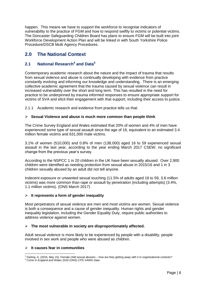happen. This means we have to support the workforce to recognise indicators of vulnerability to the practice of FGM and how to respond swiftly to victims or potential victims. The Doncaster Safeguarding Children Board has plans to ensure FGM will be built into joint Workforce Development Action Plan and will be linked in with South Yorkshire Police Procedure/DSCB Multi Agency Procedures.

# **2.0 The National Context**

#### **2.1 National Research<sup>4</sup> and Data<sup>5</sup>**

Contemporary academic research about the nature and the impact of trauma that results from sexual violence and abuse is continually developing with evidence from practice constantly evolving and informing our knowledge and understanding. There is an emerging collective academic agreement that the trauma caused by sexual violence can result in increased vulnerability over the short and long term. This has resulted in the need for practice to be underpinned by trauma informed responses to ensure appropriate support for victims of SVA and elicit their engagement with that support, including their access to justice.

2.1.1 Academic research and evidence from practice tells us that:

#### **Sexual Violence and abuse is much more common than people think**

The Crime Survey England and Wales estimated that 20% of women and 4% of men have experienced some type of sexual assault since the age of 16, equivalent to an estimated 3.4 million female victims and 631,000 male victims.

3.1% of women (510,000) and 0.8% of men (138,000) aged 16 to 59 experienced sexual assault in the last year, according to the year ending March 2017 CSEW; no significant change from the previous year's survey.

According to the NSPCC 1 in 20 children in the UK have been sexually abused. Over 2,900 children were identified as needing protection from sexual abuse in 2015/16 and 1 in 3 children sexually abused by an adult did not tell anyone.

Indecent exposure or unwanted sexual touching (11.5% of adults aged 16 to 59, 3.8 million victims) was more common than rape or assault by penetration (including attempts) (3.4%, 1.1 million victims). (ONS March 2017)

#### **It represents a form of gender inequality**

Most perpetrators of sexual violence are men and most victims are women. Sexual violence is both a consequence and a cause of gender inequality. Human rights and gender inequality legislation, including the Gender Equality Duty, require public authorities to address violence against women.

#### **The most vulnerable in society are disproportionately affected.**

Adult sexual violence is more likely to be experienced by people with a disability, people involved in sex work and people who were abused as children.

#### **It causes fear in communities**

**<sup>.</sup>** <sup>4</sup> Darling, A. (2016, May 15). Female child sexual abusers – how are they getting away with it in organisational contexts? <sup>5</sup> *Crime in England and Wales 2016 (ONS) CPS VAWG Data*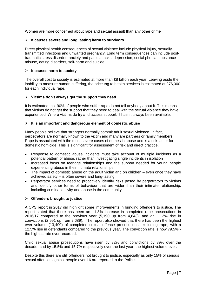Women are more concerned about rape and sexual assault than any other crime

#### **It causes severe and long lasting harm to survivors**

Direct physical health consequences of sexual violence include physical injury, sexually transmitted infections and unwanted pregnancy. Long term consequences can include posttraumatic stress disorder, anxiety and panic attacks, depression, social phobia, substance misuse, eating disorders, self-harm and suicide.

#### **It causes harm to society**

The overall cost to society is estimated at more than £8 billion each year. Leaving aside the inability to measure human suffering, the price tag to health services is estimated at £76,000 for each individual rape.

#### **Victims don't always get the support they need**

It is estimated that 90% of people who suffer rape do not tell anybody about it. This means that victims do not get the support that they need to deal with the sexual violence they have experienced. Where victims do try and access support, it hasn't always been available.

#### **It is an important and dangerous element of domestic abuse**

Many people believe that strangers normally commit adult sexual violence. In fact, perpetrators are normally known to the victim and many are partners or family members. Rape is associated with the most severe cases of domestic abuse and is a risk factor for domestic homicide. This is significant for assessment of risk and direct practice.

- Response to domestic abuse incidents must take account of multiple incidents as a potential pattern of abuse, rather than investigating single incidents in isolation
- Increased focus on teenage relationships and the support needed for young people experiencing abuse in their intimate relationships
- The impact of domestic abuse on the adult victim and on children even once they have achieved safety – is often severe and long-lasting.
- Perpetrator services need to proactively identify risks posed by perpetrators to victims and identify other forms of behaviour that are wider than their intimate relationship, including criminal activity and abuse in the community.

#### **Offenders brought to justice**

A CPS report in 2017 did highlight some improvements in bringing offenders to justice. The report stated that there has been an 11.8% increase in completed rape prosecutions in 2016/17 compared to the previous year (5,190 up from 4,643), and an 11.2% rise in convictions (2,991 up from 2,689). The report also showed that there has been the highest ever volume (13,490) of completed sexual offence prosecutions, excluding rape, with a 12.5% rise in defendants compared to the previous year. The conviction rate is now 79.5% the highest rate ever recorded.

Child sexual abuse prosecutions have risen by 82% and convictions by 89% over the decade, and by 15.5% and 15.7% respectively over the last year, the highest volume ever.

Despite this there are still offenders not brought to justice, especially as only 15% of serious sexual offences against people over 16 are reported to the Police.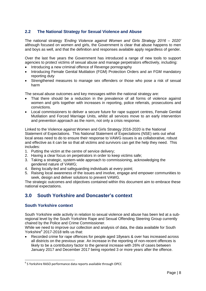#### **2.2 The National Strategy for Sexual Violence and Abuse**

The national strategy *'Ending Violence against Women and Girls Strategy 2016 – 2020'*  although focused on women and girls, the Government is clear that abuse happens to men and boys as well, and that the definition and responses available apply regardless of gender.

Over the last five years the Government has introduced a range of new tools to support agencies to protect victims of sexual abuse and manage perpetrators effectively, including:

- Introducing a new criminal offence of Revenge pornography
- Introducing Female Genital Mutilation (FGM) Protection Orders and an FGM mandatory reporting duty
- Strengthened measures to manage sex offenders or those who pose a risk of sexual harm

The sexual abuse outcomes and key messages within the national strategy are:

- That there should be a reduction in the prevalence of all forms of violence against women and girls together with increases in reporting, police referrals, prosecutions and convictions.
- Local commissioners to deliver a secure future for rape support centres, Female Genital Mutilation and Forced Marriage Units, whilst all services move to an early intervention and prevention approach as the norm, not only a crisis response.

Linked to the Violence against Women and Girls Strategy 2016-2020 is the National Statement of Expectations. This National Statement of Expectations (NSE) sets out what local areas need to do to ensure their response to VAWG issues is as collaborative, robust and effective as it can be so that all victims and survivors can get the help they need. This includes:

- 1. Putting the victim at the centre of service delivery;
- 2. Having a clear focus on perpetrators in order to keep victims safe;
- 3. Taking a strategic, system-wide approach to commissioning, acknowledging the gendered nature of VAWG;
- 4. Being locally-led and safeguarding individuals at every point;
- 5. Raising local awareness of the issues and involve, engage and empower communities to seek, design and deliver solutions to prevent VAWG.

The strategic outcomes and objectives contained within this document aim to embrace these national expectations.

# **3.0 South Yorkshire and Doncaster's context**

#### **South Yorkshire context**

**.** 

South Yorkshire wide activity in relation to sexual violence and abuse has been led at a subregional level by the South Yorkshire Rape and Sexual Offending Steering Group currently chaired by the Police and Crime Commissioner.

While we need to improve our collection and analysis of data, the data available for South Yorkshire<sup>6</sup> 2017-2018 tells us that:

 Recorded crime for rape offences for people aged 18years & over has increased across all districts on the previous year. An increase in the reporting of non-recent offences is likely to be a contributory factor to the general increase with 26% of cases between January 2017 and December 2017 being reported 3 or more years after the offence.

<sup>&</sup>lt;sup>6</sup>S Yorkshire RASO performance data reports available through OPCC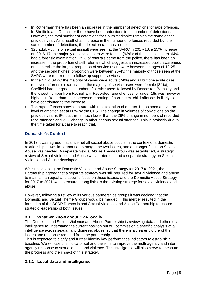- In Rotherham there has been an increase in the number of detections for rape offences. In Sheffield and Doncaster there have been reductions in the number of detections. However, the total number of detections for South Yorkshire remains the same as the previous year. As a result of an increase in the number of offences recorded but the same number of detections, the detection rate has reduced
- 328 adult victims of sexual assault were seen at the SARC in 2017-18, a 25% increase on 2016-17; the majority of service users were female (93%); of those cases seen, 64% had a forensic examination; 75% of referrals came from the police, there has been an increase in the proportion of self-referrals which suggests an increased public awareness of the service; the largest proportion of service users were between the ages of 18-25 and the second highest proportion were between 26-45; the majority of those seen at the SARC were referred on to follow up support services;
- In the Child SARC the majority of cases were acute (74%) and all but one acute case received a forensic examination; the majority of service users were female (84%); Sheffield had the greatest number of service users followed by Doncaster, Barnsley and the lowest number from Rotherham. Recorded rape offences for under 18s was however highest in Rotherham; the increased reporting of non-recent child offences is likely to have contributed to the increase.
- The rape offences conviction rate, with the exception of quarter 1, has been above the level of ambition set at 60% by the CPS. The change in volumes of convictions on the previous year is 9% but this is much lower than the 29% change in numbers of recorded rape offences and 21% change in other serious sexual offences. This is probably due to the time taken for a case to reach trial.

#### **Doncaster's Context**

In 2013 it was agreed that since not all sexual abuse occurs in the context of a domestic relationship, it was important not to merge the two issues, and a stronger focus on Sexual Abuse was needed. A separate Sexual Abuse Theme Group was established, a strategic review of Sexual Violence and Abuse was carried out and a separate strategy on Sexual Violence and Abuse developed.

Whilst developing the Domestic Violence and Abuse Strategy for 2017 to 2021, the Partnership agreed that a separate strategy was still required for sexual violence and abuse to maintain an equal and specific focus on these issues, and the Domestic Abuse Strategy for 2017 to 2021 was to ensure strong links to the existing strategy for sexual violence and abuse.

However, following a review of its various partnerships groups it was decided that the Domestic and Sexual Theme Groups would be merged. This merger resulted in the formation of the SSDP Domestic and Sexual Violence and Abuse Partnership to ensure strategic leadership of both issues.

#### **3.1 What we know about SVA locally**

The Domestic and Sexual Violence and Abuse Partnership is reviewing data and other local intelligence to understand the current position but will commission a specific analysis of all intelligence across sexual, and domestic abuse, so that there is a clearer picture of the issues and response required from the partnership.

This is expected to clarify and further identify key performance indicators to establish a baseline. We will use this indicator set and baseline to improve the multi-agency and interagency response to sexual abuse and violence. This intelligence will also serve to measure the progress and the impact of this strategy.

#### **3.1.1 Local data and intelligence**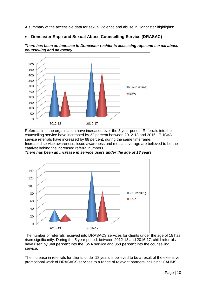A summary of the accessible data for sexual violence and abuse in Doncaster highlights:

**Doncaster Rape and Sexual Abuse Counselling Service** (**DRASAC)**



*There has been an increase in Doncaster residents accessing rape and sexual abuse counselling and advocacy*

Referrals into the organisation have increased over the 5 year period. Referrals into the counselling service have increased by 32 percent between 2012-13 and 2016-17. ISVA service referrals have increased by 68 percent, during the same timeframe. Increased service awareness, issue awareness and media coverage are believed to be the catalyst behind the increased referral numbers.



*There has been an increase in service users under the age of 18 years*

The number of referrals received into DRASACS services for clients under the age of 18 has risen significantly. During the 5 year period, between 2012-13 and 2016-17, child referrals have risen by **340 percent** into the ISVA service and **353 percent** into the counselling service.

The increase in referrals for clients under 18 years is believed to be a result of the extensive promotional work of DRASACS services to a range of relevant partners including: CAHMS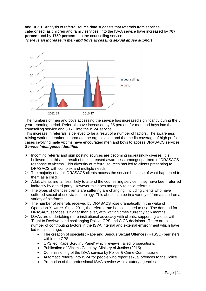and DCST. Analysis of referral source data suggests that referrals from services categorised; as children and family services, into the ISVA service have increased by **767 percent** and by **1750 percent** into the counselling service.



*There is an increase in men and boys accessing sexual abuse support* 

The numbers of men and boys accessing the service has increased significantly during the 5 year reporting period. Referrals have increased by 85 percent for men and boys into the counselling service and 306% into the ISVA service.

This increase in referrals is believed to be a result of a number of factors. The awareness raising work undertaken to promote the organisation and the media coverage of high profile cases involving male victims have encouraged men and boys to access DRASACS services. *Service Intelligence identifies*

- $\triangleright$  Incoming referral and sign posting sources are becoming increasingly diverse. It is believed that this is a result of the increased awareness amongst partners of DRASACS response to victims. This diversity of referral sources has led to clients presenting to DRASACS with complex and multiple needs.
- $\triangleright$  The majority of adult DRASACS clients access the service because of what happened to them as a child.
- $\triangleright$  Adult clients are far less likely to attend the counselling service if they have been referred indirectly by a third party. However this does not apply to child referrals.
- $\triangleright$  The types of offences clients are suffering are changing, including clients who have suffered sexual abuse via technology. This abuse can be in a variety of formats and on a variety of platforms.
- $\triangleright$  The number of referrals received by DRASACS rose dramatically in the wake of Operation Yewtree. Since 2011, the referral rate has continued to rise. The demand for DRASACS services is higher than ever, with waiting times currently at 6 months.
- $\triangleright$  ISVAs are undertaking more institutional advocacy with clients, supporting clients with 'Right to Reviews' and challenging Police, CPS and CICA decisions. There are a number of contributing factors in the ISVA internal and external environment which have led to this change;
	- The creation of specialist Rape and Serious Sexual Offences (RaSSO) barristers within the CPS.
	- CPS led 'Rape Scrutiny Panel' which reviews 'failed' prosecutions.
	- Publication of 'Victims Code' by Ministry of Justice (2015)
	- Commissioning of the ISVA service by Police & Crime Commissioner
	- Automatic referral into ISVA for people who report sexual offences to the Police
	- Promotion of the professional ISVA service with statutory agencies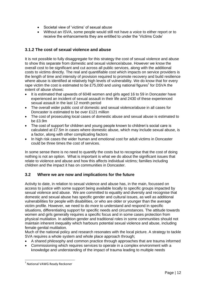- Societal view of 'victims' of sexual abuse
- Without an ISVA, some people would still not have a voice to either report or to receive the enhancements they are entitled to under the 'Victims Code'

## **3.1.2 The cost of sexual violence and abuse**

It is not possible to fully disaggregate for this strategy the cost of sexual violence and abuse to show this separate from domestic and sexual violence/abuse. However we know the overall cost to be significant and cut across all public services, along with the additional costs to victims directly. The real and quantifiable cost which impacts on service providers is the length of time and intensity of provision required to promote recovery and build resilience where abuse is identified at relatively high levels of vulnerability. We do know that for every rape victim the cost is estimated to be £75,000 and using national figures<sup>7</sup> for DSVA the extent of abuse shows:

- It is estimated that upwards of 6048 women and girls aged 16 to 59 in Doncaster have experienced an incident of sexual assault in their life and 2430 of these experienced sexual assault in the last 12 month period
- The overall wider public cost of domestic and sexual violence/abuse in all cases for Doncaster is estimated to be over £121 million
- The cost of prosecuting local cases of domestic abuse and sexual abuse is estimated to be £3.9m
- The cost of support for children and young people known to children's social care is calculated at £7.5m in cases where domestic abuse, which may include sexual abuse, is a factor, along with other complicating factors
- In high risk cases the wider human and emotional cost for adult victims in Doncaster could be three times the cost of services.

In some sense there is no need to quantify the costs but to recognise that the cost of doing nothing is not an option. What is important is what we do about the significant issues that relate to violence and abuse and how this affects individual victims; families including children and the impact it has on communities in Doncaster.

#### **3.2 Where we are now and implications for the future**

Activity to date, in relation to sexual violence and abuse has, in the main, focussed on access to justice with some support being available locally to specific groups impacted by sexual violence and abuse. We are committed to equality and diversity and recognise that domestic and sexual abuse has specific gender and cultural issues, as well as additional vulnerabilities for people with disabilities, or who are older or younger than the average victim profile. However, we need to do more to understand and respond in specific situations, differentiating support for specific needs and circumstances. The attitude towards women and girls generally requires a specific focus and in some cases protection from physical mutilation. In addition gender and traditional roles in some communities should not maintain inherent inequality which harbours potential sexual violence and abuse, including female genital mutilation.

Much of the national policy and research resonates with the local picture. A strategy to tackle SVA requires a whole system and whole place approach through:

- A shared philosophy and common practice through approaches that are trauma informed
- Commissioning which requires services to operate in a complex environment with a knowledge and understanding of the impact of trauma leading to multiple needs

**<sup>.</sup>** 7 National VAWG Ready Reckoner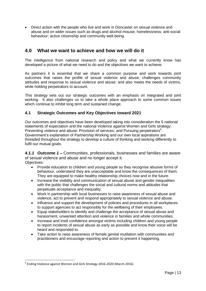Direct action with the people who live and work in Doncaster on sexual violence and abuse and on wider issues such as drugs and alcohol misuse; homelessness; anti-social behaviour; active citizenship and community well-being.

# **4.0 What we want to achieve and how we will do it**

The intelligence from national research and policy and what we currently know has developed a picture of what we need to do and the objectives we want to achieve.

As partners it is essential that we share a common purpose and work towards joint outcomes that raises the profile of sexual violence and abuse, challenges community attitudes and response to sexual violence and abuse; and also meets the needs of victims, while holding perpetrators to account.

This strategy sets out our strategic outcomes with an emphasis on integrated and joint working. It also challenges us to take a whole place approach to some common issues which continue to inhibit long term and sustained change.

#### **4.1 Strategic Outcomes and Key Objectives toward 2021**

Our outcomes and objectives have been developed taking into consideration the 5 national statements of expectation and the national Violence against Women and Girls strategy: Preventing violence and abuse; Provision of services; and Pursuing perpetrators<sup>8</sup>. Government's explanation of Partnership Working and our own local aspirations are threaded throughout the strategy to develop a culture of thinking and working differently to fulfil our mutual goals.

*4.1.1 Outcome 1 –* Communities, professionals, businesses and families are aware of sexual violence and abuse and no longer accept it. Objectives:

- Provide education to children and young people so they recognise abusive forms of behaviour, understand they are unacceptable and know the consequences of them. They are equipped to make healthy relationship choices now and in the future.
- Increase the visibility and communication of sexual abuse and gender inequalities with the public that challenges the social and cultural norms and attitudes that perpetuate acceptance and inequality.
- Work in partnership with local businesses to raise awareness of sexual abuse and violence, act to prevent and respond appropriately to sexual violence and abuse.
- Influence and support the development of policies and procedures in all workplaces to support agencies to act responsibly for the wellbeing of their employees.
- Equip stakeholders to identify and challenge the acceptance of sexual abuse and harassment, unwanted attention and violence in families and whole communities.
- Increase and instil confidence amongst victims including children and young people to report incidents of sexual abuse as early as possible and know their voice will be heard and responded to.
- Take action to raise awareness of female genital mutilation with communities and practitioners and encourage reporting and action to prevent it happening.

**<sup>.</sup>** <sup>8</sup> Ending Violence against Women and Girls Strategy 2016-2020 (March 2016)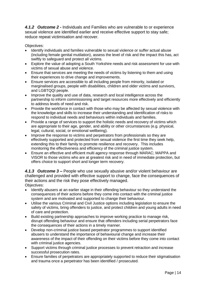*4.1.2 Outcome 2 -* Individuals and Families who are vulnerable to or experience sexual violence are identified earlier and receive effective support to stay safe; reduce repeat victimisation and recover.

Objectives:

- Identify individuals and families vulnerable to sexual violence or suffer actual abuse (including female genital mutilation), assess the level of risk and the impact this has, act swiftly to safeguard and protect all victims.
- Explore the value of adopting a South Yorkshire needs and risk assessment for use with victims of sexual abuse and violence.
- Ensure that services are meeting the needs of victims by listening to them and using their experiences to drive change and improvements.
- Ensure services are accessible to all including people from minority, isolated or marginalised groups, people with disabilities, children and older victims and survivors, and LGBTQQI people.
- Improve the quality and use of data, research and local intelligence across the partnership to inform commissioning and target resources more effectively and efficiently to address levels of need and risk.
- Provide the workforce in contact with those who may be affected by sexual violence with the knowledge and skills to increase their understanding and identification of risks to respond to individual needs and behaviours within individuals and families.
- Provide a range of services to support the holistic needs and recovery of victims which are appropriate to their age, gender, and ability or other circumstances (e.g. physical, legal, cultural, social, or emotional wellbeing).
- Improve the response to victims and perpetrators from professionals so they are effectively supported and protected from sexual violence the first time they seek help, extending this to their family to promote resilience and recovery. This includes monitoring the effectiveness and efficiency of the criminal justice system.
- Ensure an effective and efficient multi agency response through MARAC; MAPPA and VISOR to those victims who are at greatest risk and in need of immediate protection, but offers choice to support short and longer term recovery.

*4.1.3 Outcome 3 –* People who use sexually abusive and/or violent behaviour are challenged and provided with effective support to change, face the consequences of their actions and the risk they pose effectively managed. Objectives:

- Identify abusers at an earlier stage in their offending behaviour so they understand the consequences of their actions before they come into contact with the criminal justice system and are motivated and supported to change their behaviour.
- Utilise the various Criminal and Civil Justice options including legislation to ensure the safety of victims, bring offenders to justice, and protect children and young adults in need of care and protection.
- Build existing partnership approaches to improve working practice to manage risk, disrupt offending behaviour and ensure that offenders including serial perpetrators face the consequences of their actions in a timely manner.
- Develop non-criminal justice based perpetrator programmes to support identified abusers to understand the importance of behavioural change and increase their awareness of the impact of their offending on their victims before they come into contact with criminal justice agencies.
- Support victims through criminal justice processes to prevent retraction and increase successful prosecution rates.
- Ensure families of perpetrators are appropriately supported to reduce their stigmatisation and trauma once a perpetrator has been identified / prosecuted.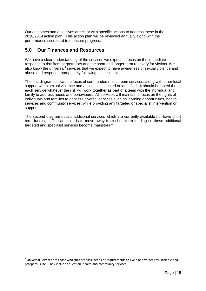Our outcomes and objectives are clear with specific actions to address these in the 2018/2019 action plan. This action plan will be reviewed annually along with the performance scorecard to measure progress.

# **5.0 Our Finances and Resources**

We have a clear understanding of the services we expect to focus on the immediate response to risk from perpetrators and the short and longer term recovery for victims. We also know the universal<sup>9</sup> services that we expect to have awareness of sexual violence and abuse and respond appropriately following assessment.

The first diagram shows the focus of core funded mainstream services, along with other local support when sexual violence and abuse is suspected or identified. It should be noted that each service whatever the risk will work together as part of a team with the individual and family to address needs and behaviours. All services will maintain a focus on the rights of individuals and families to access universal services such as learning opportunities, health services and community services, while providing any targeted or specialist intervention or support.

The second diagram details additional services which are currently available but have short term funding. The ambition is to move away from short term funding so these additional targeted and specialist services become mainstream.

**.** 

 $9$  Universal Services are those who support basic needs or requirements to live a happy, healthy, sociable and prosperous life. They include education, health and community services.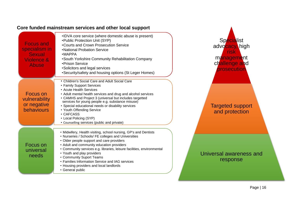| <b>Focus and</b><br>specialism in<br><b>Sexual</b><br>Violence &<br><b>Abuse</b> | . IDVA core service (where domestic abuse is present)<br>•Public Protection Unit (SYP)<br>•Courts and Crown Prosecution Service<br>•National Probation Service<br>$\cdot$ MAPPA<br>• South Yorkshire Community Rehabilitation Company<br>• Prison Service<br>•Solicitors and legal services<br>• Security/safety and housing options (St Leger Homes)                                                                                                                  |  |
|----------------------------------------------------------------------------------|------------------------------------------------------------------------------------------------------------------------------------------------------------------------------------------------------------------------------------------------------------------------------------------------------------------------------------------------------------------------------------------------------------------------------------------------------------------------|--|
| Focus on<br>vulnerability<br>or negative<br>behaviours                           | • Children's Social Care and Adult Social Care<br>• Family Support Services<br>• Acute Health Services<br>• Adult mental health services and drug and alcohol services<br>• CAMHS and Project 3 (universal but includes targetted<br>services for young people e.g. substance misuse)<br>• Special educational needs or disability services<br>• Youth Offending Service<br>• CAFCASS<br>• Local Policing (SYP)<br>• Counselling services (public and private)         |  |
| Focus on<br>universal<br>needs                                                   | • Midwifery, Health visiting, school nursing, GP's and Dentists<br>• Nurseries / Schools/ FE colleges and Universities<br>• Older people support and care providers<br>• Adult and community education providers<br>• Community services e.g. libraries, leisure facilities, environmental<br>• Youth and play providers<br>• Community Suport Teams<br>• Families Information Service and IAG services<br>• Housing providers and local landlords<br>• General public |  |

# **Core funded mainstream services and other local support**

management challenge and prosecution Targeted support and protection Universal awareness and response

Specialist advocacy, high risk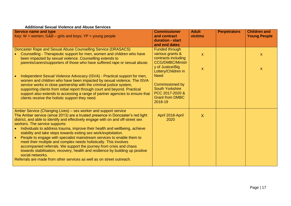#### **Additional Sexual Violence and Abuse Services**

| <b>Service name and type</b>                                                                                                                                       | <b>Commissioner</b>                            | <b>Adult</b><br>victims   | <b>Perpetrators</b> | <b>Children and</b> |
|--------------------------------------------------------------------------------------------------------------------------------------------------------------------|------------------------------------------------|---------------------------|---------------------|---------------------|
| Key: $W =$ women; G&B – girls and boys; $YP =$ young people                                                                                                        | and contract<br>duration - start               |                           |                     | <b>Young People</b> |
|                                                                                                                                                                    | and end dates                                  |                           |                     |                     |
| Doncaster Rape and Sexual Abuse Counselling Service (DRASACS)<br>• Counselling - Therapeutic support for men, women and children who have                          | <b>Funded through</b><br>various grants &      | $\mathbf{x}$              |                     |                     |
| been impacted by sexual violence. Counselling extends to                                                                                                           | contracts including<br><b>CCG/DMBC/Ministr</b> |                           |                     | $\mathsf{X}$        |
| parents/carers/supporters of those who have suffered rape or sexual abuse.                                                                                         | y of Justice/Big<br>Lottery/Children in        | $\boldsymbol{\mathsf{X}}$ |                     | $\mathsf{X}$        |
| Independent Sexual Violence Advocacy (ISVA) - Practical support for men,<br>women and children who have been impacted by sexual violence. The ISVA                 | <b>Need</b>                                    |                           |                     |                     |
| service works in close partnership with the criminal justice system,                                                                                               | Commissioned by                                |                           |                     |                     |
| supporting clients from initial report through court and beyond. Practical<br>support also extends to accessing a range of partner agencies to ensure that         | <b>South Yorkshire</b><br>PCC 2017-2020 &      |                           |                     |                     |
| clients receive the holistic support they need.                                                                                                                    | <b>Grant from DMBC</b><br>2018-19              |                           |                     |                     |
| Amber Service (Changing Lives) – sex worker and support service                                                                                                    |                                                |                           |                     |                     |
| The Amber service (since 2013) are a trusted presence in Doncaster's red light<br>district, and able to identify and effectively engage with on and off-street sex | April 2018-April<br>2020                       | $\sf X$                   |                     |                     |
| workers. The service supports:                                                                                                                                     |                                                |                           |                     |                     |
| • Individuals to address trauma, improve their health and wellbeing, achieve<br>stability and take steps towards exiting sex work/exploitation.                    |                                                |                           |                     |                     |
| People to engage with specialist mainstream services to enable them to<br>meet their multiple and complex needs holistically. This involves                        |                                                |                           |                     |                     |
| accompanied referrals. We support the journey from crisis and chaos<br>towards stabilisation, recovery, health and resilience by building up positive              |                                                |                           |                     |                     |
| social networks.                                                                                                                                                   |                                                |                           |                     |                     |
| Referrals are made from other services as well as on street outreach.                                                                                              |                                                |                           |                     |                     |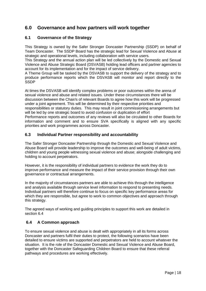# **6.0 Governance and how partners will work together**

#### **6.1 Governance of the Strategy**

This Strategy is owned by the Safer Stronger Doncaster Partnership (SSDP) on behalf of Team Doncaster. The SSDP Board has the strategic lead for Sexual Violence and Abuse at strategic and operational levels, including collaboration with service users.

This Strategy and the annual action plan will be led collectively by the Domestic and Sexual Violence and Abuse Strategic Board (DSVASB) holding lead officers and partner agencies to account for its implementation and for the impact of service delivery.

A Theme Group will be tasked by the DSVASB to support the delivery of the strategy and to produce performance reports which the DSVASB will monitor and report directly to the **SSDP** 

At times the DSVASB will identify complex problems or poor outcomes within the arena of sexual violence and abuse and related issues. Under these circumstances there will be discussion between the Chair/s of relevant Boards to agree how this work will be progressed under a joint agreement. This will be determined by their respective priorities and responsibilities or statutory duties. This may result in joint commissioning arrangements but will be led by one strategic board to avoid confusion or duplication of effort Performance reports and outcomes of any reviews will also be circulated to other Boards for information and comment and to ensure SVA specifically is aligned with any specific priorities and work programmes across Doncaster.

#### **6.3 Individual Partner responsibility and accountability**

The Safer Stronger Doncaster Partnership through the Domestic and Sexual Violence and Abuse Board will provide leadership to improve the outcomes and well-being of adult victims, children and young people witnessing sexual violence and abuse; alongside challenging and holding to account perpetrators.

However, it is the responsibility of individual partners to evidence the work they do to improve performance and measure the impact of their service provision through their own governance or contractual arrangements.

In the majority of circumstances partners are able to achieve this through the intelligence and analysis available through service level information to respond to presenting needs. Individual partners will therefore continue to focus on specific key performance areas for which they are responsible, but agree to work to common objectives and approach through this strategy.

The agreed ways of working and guiding principles to support this work are detailed in section 6.4

#### **6.4 A Common approach**

To ensure sexual violence and abuse is dealt with appropriately in all its forms across Doncaster and partners fulfil their duties to protect, the following scenarios have been detailed to ensure victims are supported and perpetrators are held to account whatever the situation. It is the role of the Doncaster Domestic and Sexual Violence and Abuse Board, together with the Doncaster Safeguarding Children Board to ensure that these referral pathways and procedures are working effectively.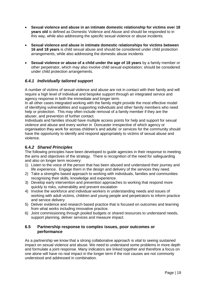- **Sexual violence and abuse in an intimate domestic relationship for victims over 18 years old** is defined as Domestic Violence and Abuse and should be responded to in this way, while also addressing the specific sexual violence or abuse incidents.
- **Sexual violence and abuse in intimate domestic relationships for victims between 16 and 18 years** is child sexual abuse and should be considered under child protection arrangements, while also addressing the domestic abuse incidents
- **Sexual violence or abuse of a child under the age of 18 years** by a family member or other perpetrator, which may also involve child sexual exploitation; should be considered under child protection arrangements.

#### *6.4.1 Individually tailored support*

A number of victims of sexual violence and abuse are not in contact with their family and will require a high level of individual and bespoke support through an integrated service and agency response in both the immediate and longer term.

In all other cases integrated working with the family might provide the most effective model of identifying vulnerabilities and supporting individuals and other family members who need help or protection. This may often include removal of a family member if they are the abuser, and prevention of further contact.

Individuals and families should have multiple access points for help and support for sexual violence and abuse and every worker in Doncaster irrespective of which agency or organisation they work for across children's and adults' or services for the community should have the opportunity to identify and respond appropriately to victims of sexual abuse and violence.

#### **6.4***.2 Shared Principles*

The following principles have been developed to guide agencies in their response to meeting the aims and objectives of the strategy. There is recognition of the need for safeguarding and also on longer term recovery:

- 1) Listen to the voice of the person that has been abused and understand their journey and life experience. Engage them in the design and delivery of the services they need.
- 2) Take a strengths based approach to working with individuals, families and communities recognising their skills, knowledge and experience.
- 3) Develop early intervention and prevention approaches to working that respond more quickly to risks, vulnerability and prevent escalation
- 4) Involve the workforce and individual workers in understanding needs and issues of working with adult victims, children and young people and perpetrators to inform practice and service delivery
- 5) Deliver evidence and research based practice that is focused on outcomes and learning from what works including innovative practice.
- 6) Joint commissioning through pooled budgets or shared resources to understand needs, support planning, deliver services and measure impact.

#### **6.5 Partnership response to complex issues, poor outcomes or performance**

As a partnership we know that a strong collaborative approach is vital to seeing sustained impact on sexual violence and abuse. We need to understand some problems in more depth and formulate a joint response. Many indicators are linked together and therefore a focus on one alone will have no real impact in the longer term if the root causes are not commonly understood and addressed in combination.